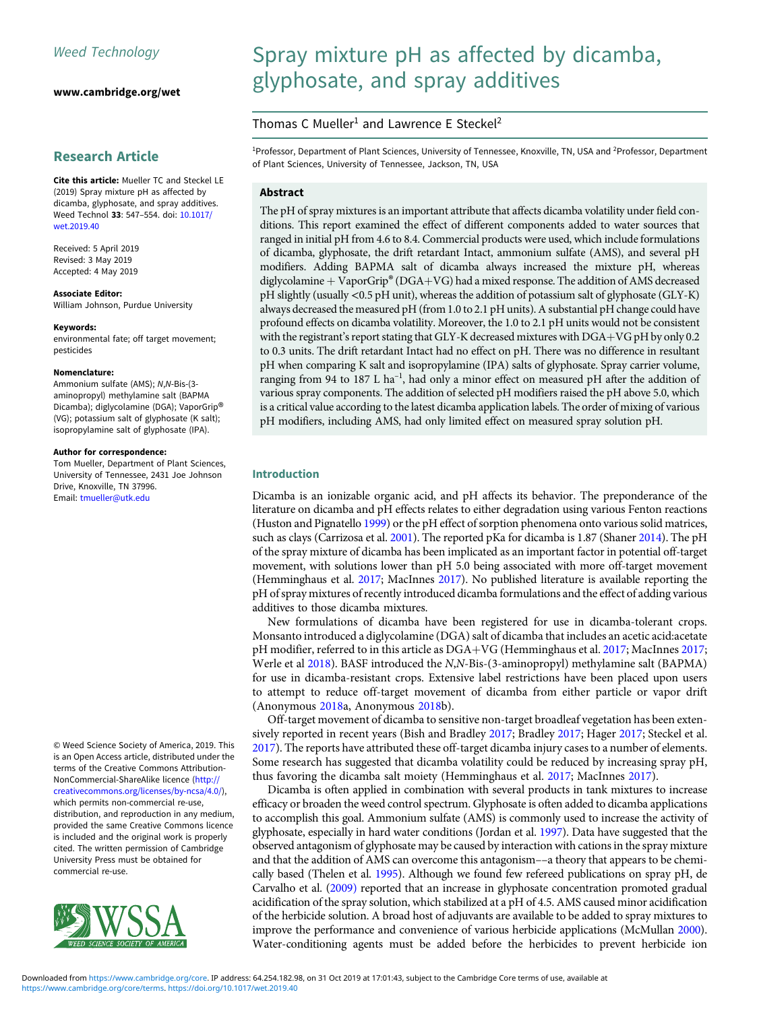[www.cambridge.org/wet](https://www.cambridge.org/wet)

# Research Article

Cite this article: Mueller TC and Steckel LE (2019) Spray mixture pH as affected by dicamba, glyphosate, and spray additives. Weed Technol 33: 547–554. doi: [10.1017/](https://doi.org/10.1017/wet.2019.40) [wet.2019.40](https://doi.org/10.1017/wet.2019.40)

Received: 5 April 2019 Revised: 3 May 2019 Accepted: 4 May 2019

Associate Editor: William Johnson, Purdue University

#### Keywords:

environmental fate; off target movement; pesticides

#### Nomenclature:

Ammonium sulfate (AMS); N,N-Bis-(3 aminopropyl) methylamine salt (BAPMA Dicamba); diglycolamine (DGA); VaporGrip® (VG); potassium salt of glyphosate (K salt); isopropylamine salt of glyphosate (IPA).

#### Author for correspondence:

Tom Mueller, Department of Plant Sciences, University of Tennessee, 2431 Joe Johnson Drive, Knoxville, TN 37996. Email: [tmueller@utk.edu](mailto:tmueller@utk.edu)

© Weed Science Society of America, 2019. This is an Open Access article, distributed under the terms of the Creative Commons Attribution-NonCommercial-ShareAlike licence [\(http://](http://creativecommons.org/licenses/by-ncsa/4.0/) [creativecommons.org/licenses/by-ncsa/4.0/](http://creativecommons.org/licenses/by-ncsa/4.0/)), which permits non-commercial re-use, distribution, and reproduction in any medium, provided the same Creative Commons licence is included and the original work is properly cited. The written permission of Cambridge University Press must be obtained for commercial re-use.



# Spray mixture pH as affected by dicamba, glyphosate, and spray additives

# Thomas C Mueller<sup>1</sup> and Lawrence E Steckel<sup>2</sup>

<sup>1</sup>Professor, Department of Plant Sciences, University of Tennessee, Knoxville, TN, USA and <sup>2</sup>Professor, Department of Plant Sciences, University of Tennessee, Jackson, TN, USA

## Abstract

The pH of spray mixtures is an important attribute that affects dicamba volatility under field conditions. This report examined the effect of different components added to water sources that ranged in initial pH from 4.6 to 8.4. Commercial products were used, which include formulations of dicamba, glyphosate, the drift retardant Intact, ammonium sulfate (AMS), and several pH modifiers. Adding BAPMA salt of dicamba always increased the mixture pH, whereas diglycolamine  $+$  VaporGrip® (DGA+VG) had a mixed response. The addition of AMS decreased pH slightly (usually <0.5 pH unit), whereas the addition of potassium salt of glyphosate (GLY-K) always decreased the measured pH (from 1.0 to 2.1 pH units). A substantial pH change could have profound effects on dicamba volatility. Moreover, the 1.0 to 2.1 pH units would not be consistent with the registrant's report stating that GLY-K decreased mixtures with  $DGA+VG$  pH by only 0.2 to 0.3 units. The drift retardant Intact had no effect on pH. There was no difference in resultant pH when comparing K salt and isopropylamine (IPA) salts of glyphosate. Spray carrier volume, ranging from 94 to 187 L ha<sup>-1</sup>, had only a minor effect on measured pH after the addition of various spray components. The addition of selected pH modifiers raised the pH above 5.0, which is a critical value according to the latest dicamba application labels. The order of mixing of various pH modifiers, including AMS, had only limited effect on measured spray solution pH.

### Introduction

Dicamba is an ionizable organic acid, and pH affects its behavior. The preponderance of the literature on dicamba and pH effects relates to either degradation using various Fenton reactions (Huston and Pignatello [1999](#page-7-0)) or the pH effect of sorption phenomena onto various solid matrices, such as clays (Carrizosa et al. [2001\)](#page-7-0). The reported pKa for dicamba is 1.87 (Shaner [2014](#page-7-0)). The pH of the spray mixture of dicamba has been implicated as an important factor in potential off-target movement, with solutions lower than pH 5.0 being associated with more off-target movement (Hemminghaus et al. [2017;](#page-7-0) MacInnes [2017\)](#page-7-0). No published literature is available reporting the pH of spray mixtures of recently introduced dicamba formulations and the effect of adding various additives to those dicamba mixtures.

New formulations of dicamba have been registered for use in dicamba-tolerant crops. Monsanto introduced a diglycolamine (DGA) salt of dicamba that includes an acetic acid:acetate pH modifier, referred to in this article as  $DGA+VG$  (Hemminghaus et al. [2017](#page-7-0); MacInnes [2017;](#page-7-0) Werle et al [2018\)](#page-7-0). BASF introduced the N,N-Bis-(3-aminopropyl) methylamine salt (BAPMA) for use in dicamba-resistant crops. Extensive label restrictions have been placed upon users to attempt to reduce off-target movement of dicamba from either particle or vapor drift (Anonymous [2018](#page-6-0)a, Anonymous [2018](#page-6-0)b).

Off-target movement of dicamba to sensitive non-target broadleaf vegetation has been extensively reported in recent years (Bish and Bradley [2017;](#page-6-0) Bradley [2017;](#page-7-0) Hager [2017](#page-7-0); Steckel et al. [2017](#page-7-0)). The reports have attributed these off-target dicamba injury cases to a number of elements. Some research has suggested that dicamba volatility could be reduced by increasing spray pH, thus favoring the dicamba salt moiety (Hemminghaus et al. [2017;](#page-7-0) MacInnes [2017](#page-7-0)).

Dicamba is often applied in combination with several products in tank mixtures to increase efficacy or broaden the weed control spectrum. Glyphosate is often added to dicamba applications to accomplish this goal. Ammonium sulfate (AMS) is commonly used to increase the activity of glyphosate, especially in hard water conditions (Jordan et al. [1997](#page-7-0)). Data have suggested that the observed antagonism of glyphosate may be caused by interaction with cations in the spray mixture and that the addition of AMS can overcome this antagonism––a theory that appears to be chemically based (Thelen et al. [1995](#page-7-0)). Although we found few refereed publications on spray pH, de Carvalho et al. [\(2009\)](#page-7-0) reported that an increase in glyphosate concentration promoted gradual acidification of the spray solution, which stabilized at a pH of 4.5. AMS caused minor acidification of the herbicide solution. A broad host of adjuvants are available to be added to spray mixtures to improve the performance and convenience of various herbicide applications (McMullan [2000\)](#page-7-0). Water-conditioning agents must be added before the herbicides to prevent herbicide ion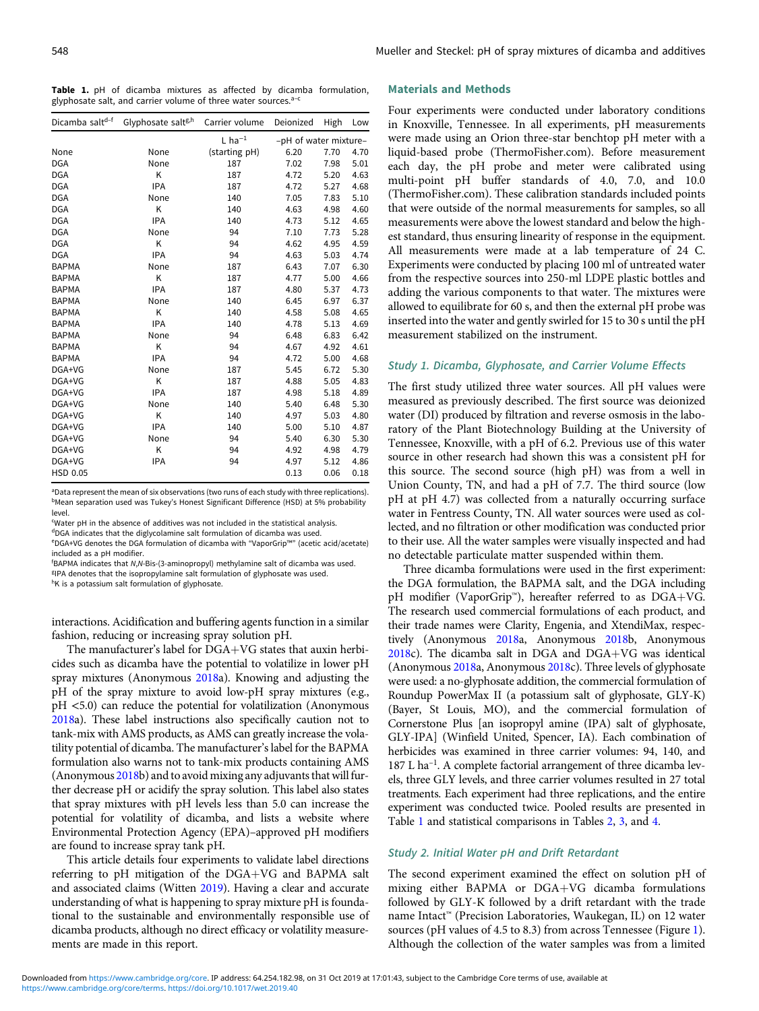<span id="page-1-0"></span>Table 1. pH of dicamba mixtures as affected by dicamba formulation, glyphosate salt, and carrier volume of three water sources. $a-c$ 

| Dicamba saltd-f | Glyphosate salt <sup>g,h</sup> | Carrier volume       | Deionized             | High | Low  |
|-----------------|--------------------------------|----------------------|-----------------------|------|------|
|                 |                                | $L$ ha <sup>-1</sup> | -pH of water mixture- |      |      |
| None            | None                           | (starting pH)        | 6.20                  | 7.70 | 4.70 |
| <b>DGA</b>      | None                           | 187                  | 7.02                  | 7.98 | 5.01 |
| <b>DGA</b>      | Κ                              | 187                  | 4.72                  | 5.20 | 4.63 |
| <b>DGA</b>      | <b>IPA</b>                     | 187                  | 4.72                  | 5.27 | 4.68 |
| <b>DGA</b>      | None                           | 140                  | 7.05                  | 7.83 | 5.10 |
| <b>DGA</b>      | K                              | 140                  | 4.63                  | 4.98 | 4.60 |
| <b>DGA</b>      | <b>IPA</b>                     | 140                  | 4.73                  | 5.12 | 4.65 |
| <b>DGA</b>      | None                           | 94                   | 7.10                  | 7.73 | 5.28 |
| <b>DGA</b>      | Κ                              | 94                   | 4.62                  | 4.95 | 4.59 |
| <b>DGA</b>      | <b>IPA</b>                     | 94                   | 4.63                  | 5.03 | 4.74 |
| <b>BAPMA</b>    | None                           | 187                  | 6.43                  | 7.07 | 6.30 |
| <b>BAPMA</b>    | K                              | 187                  | 4.77                  | 5.00 | 4.66 |
| <b>BAPMA</b>    | <b>IPA</b>                     | 187                  | 4.80                  | 5.37 | 4.73 |
| <b>BAPMA</b>    | None                           | 140                  | 6.45                  | 6.97 | 6.37 |
| <b>BAPMA</b>    | K                              | 140                  | 4.58                  | 5.08 | 4.65 |
| <b>BAPMA</b>    | <b>IPA</b>                     | 140                  | 4.78                  | 5.13 | 4.69 |
| <b>BAPMA</b>    | None                           | 94                   | 6.48                  | 6.83 | 6.42 |
| <b>BAPMA</b>    | K                              | 94                   | 4.67                  | 4.92 | 4.61 |
| <b>BAPMA</b>    | <b>IPA</b>                     | 94                   | 4.72                  | 5.00 | 4.68 |
| DGA+VG          | None                           | 187                  | 5.45                  | 6.72 | 5.30 |
| DGA+VG          | Κ                              | 187                  | 4.88                  | 5.05 | 4.83 |
| DGA+VG          | <b>IPA</b>                     | 187                  | 4.98                  | 5.18 | 4.89 |
| DGA+VG          | None                           | 140                  | 5.40                  | 6.48 | 5.30 |
| DGA+VG          | Κ                              | 140                  | 4.97                  | 5.03 | 4.80 |
| DGA+VG          | <b>IPA</b>                     | 140                  | 5.00                  | 5.10 | 4.87 |
| DGA+VG          | None                           | 94                   | 5.40                  | 6.30 | 5.30 |
| DGA+VG          | Κ                              | 94                   | 4.92                  | 4.98 | 4.79 |
| DGA+VG          | <b>IPA</b>                     | 94                   | 4.97                  | 5.12 | 4.86 |
| <b>HSD 0.05</b> |                                |                      | 0.13                  | 0.06 | 0.18 |

<sup>a</sup>Data represent the mean of six observations (two runs of each study with three replications). bMean separation used was Tukey's Honest Significant Difference (HSD) at 5% probability level.

c Water pH in the absence of additives was not included in the statistical analysis.

dDGA indicates that the diglycolamine salt formulation of dicamba was used.

e DGA+VG denotes the DGA formulation of dicamba with "VaporGrip™" (acetic acid/acetate) included as a pH modifier.

f BAPMA indicates that N,N-Bis-(3-aminopropyl) methylamine salt of dicamba was used.

g IPA denotes that the isopropylamine salt formulation of glyphosate was used.

hK is a potassium salt formulation of glyphosate.

interactions. Acidification and buffering agents function in a similar fashion, reducing or increasing spray solution pH.

The manufacturer's label for  $DGA+VG$  states that auxin herbicides such as dicamba have the potential to volatilize in lower pH spray mixtures (Anonymous [2018](#page-6-0)a). Knowing and adjusting the pH of the spray mixture to avoid low-pH spray mixtures (e.g., pH <5.0) can reduce the potential for volatilization (Anonymous [2018](#page-6-0)a). These label instructions also specifically caution not to tank-mix with AMS products, as AMS can greatly increase the volatility potential of dicamba. The manufacturer's label for the BAPMA formulation also warns not to tank-mix products containing AMS (Anonymous  $2018b$  $2018b$ ) and to avoid mixing any adjuvants that will further decrease pH or acidify the spray solution. This label also states that spray mixtures with pH levels less than 5.0 can increase the potential for volatility of dicamba, and lists a website where Environmental Protection Agency (EPA)–approved pH modifiers are found to increase spray tank pH.

This article details four experiments to validate label directions referring to pH mitigation of the DGA+VG and BAPMA salt and associated claims (Witten [2019](#page-7-0)). Having a clear and accurate understanding of what is happening to spray mixture pH is foundational to the sustainable and environmentally responsible use of dicamba products, although no direct efficacy or volatility measurements are made in this report.

#### Materials and Methods

Four experiments were conducted under laboratory conditions in Knoxville, Tennessee. In all experiments, pH measurements were made using an Orion three-star benchtop pH meter with a liquid-based probe (ThermoFisher.com). Before measurement each day, the pH probe and meter were calibrated using multi-point pH buffer standards of 4.0, 7.0, and 10.0 (ThermoFisher.com). These calibration standards included points that were outside of the normal measurements for samples, so all measurements were above the lowest standard and below the highest standard, thus ensuring linearity of response in the equipment. All measurements were made at a lab temperature of 24 C. Experiments were conducted by placing 100 ml of untreated water from the respective sources into 250-ml LDPE plastic bottles and adding the various components to that water. The mixtures were allowed to equilibrate for 60 s, and then the external pH probe was inserted into the water and gently swirled for 15 to 30 s until the pH measurement stabilized on the instrument.

#### Study 1. Dicamba, Glyphosate, and Carrier Volume Effects

The first study utilized three water sources. All pH values were measured as previously described. The first source was deionized water (DI) produced by filtration and reverse osmosis in the laboratory of the Plant Biotechnology Building at the University of Tennessee, Knoxville, with a pH of 6.2. Previous use of this water source in other research had shown this was a consistent pH for this source. The second source (high pH) was from a well in Union County, TN, and had a pH of 7.7. The third source (low pH at pH 4.7) was collected from a naturally occurring surface water in Fentress County, TN. All water sources were used as collected, and no filtration or other modification was conducted prior to their use. All the water samples were visually inspected and had no detectable particulate matter suspended within them.

Three dicamba formulations were used in the first experiment: the DGA formulation, the BAPMA salt, and the DGA including pH modifier (VaporGrip™), hereafter referred to as DGA+VG. The research used commercial formulations of each product, and their trade names were Clarity, Engenia, and XtendiMax, respectively (Anonymous [2018](#page-6-0)a, Anonymous [2018b](#page-6-0), Anonymous  $2018c$  $2018c$ ). The dicamba salt in DGA and DGA+VG was identical (Anonymous [2018a](#page-6-0), Anonymous [2018c](#page-6-0)). Three levels of glyphosate were used: a no-glyphosate addition, the commercial formulation of Roundup PowerMax II (a potassium salt of glyphosate, GLY-K) (Bayer, St Louis, MO), and the commercial formulation of Cornerstone Plus [an isopropyl amine (IPA) salt of glyphosate, GLY-IPA] (Winfield United, Spencer, IA). Each combination of herbicides was examined in three carrier volumes: 94, 140, and 187 L ha<sup>-1</sup>. A complete factorial arrangement of three dicamba levels, three GLY levels, and three carrier volumes resulted in 27 total treatments. Each experiment had three replications, and the entire experiment was conducted twice. Pooled results are presented in Table 1 and statistical comparisons in Tables [2,](#page-2-0) [3](#page-2-0), and [4](#page-2-0).

#### Study 2. Initial Water pH and Drift Retardant

The second experiment examined the effect on solution pH of mixing either BAPMA or DGA+VG dicamba formulations followed by GLY-K followed by a drift retardant with the trade name Intact™ (Precision Laboratories, Waukegan, IL) on 12 water sources (pH values of 4.5 to 8.3) from across Tennessee (Figure [1](#page-2-0)). Although the collection of the water samples was from a limited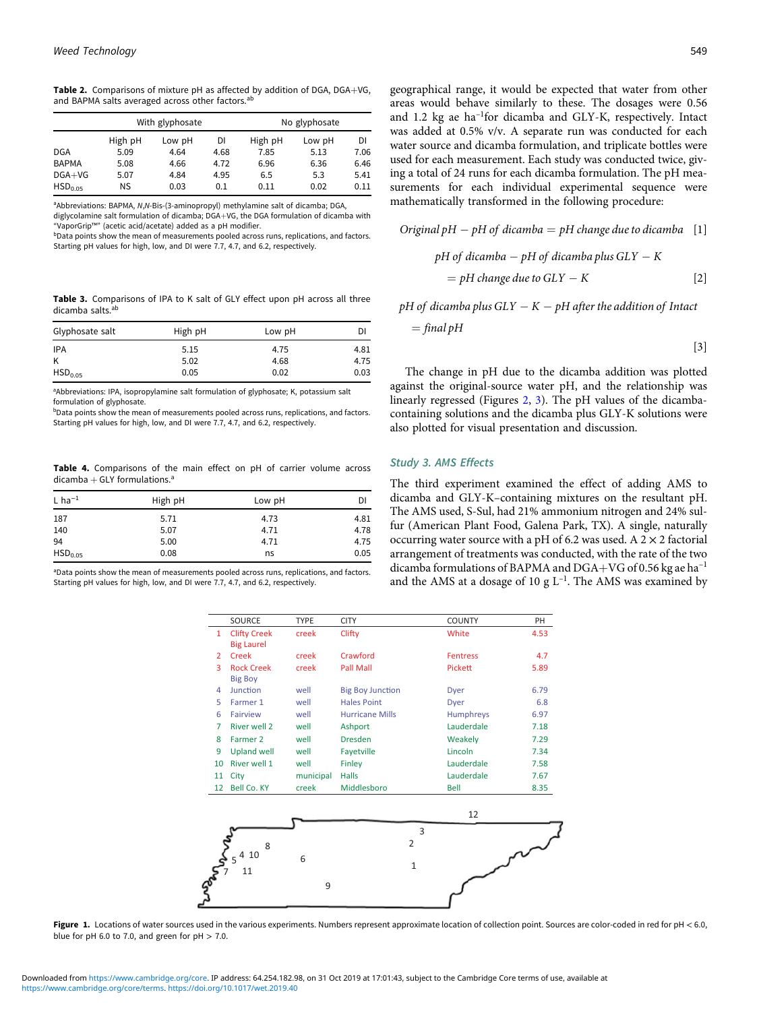<span id="page-2-0"></span>Table 2. Comparisons of mixture pH as affected by addition of DGA, DGA+VG, and BAPMA salts averaged across other factors.<sup>ab</sup>

|                     | With glyphosate |        |      |         | No glyphosate |      |
|---------------------|-----------------|--------|------|---------|---------------|------|
|                     | High pH         | Low pH | DI   | High pH | Low pH        | DI   |
| <b>DGA</b>          | 5.09            | 4.64   | 4.68 | 7.85    | 5.13          | 7.06 |
| <b>BAPMA</b>        | 5.08            | 4.66   | 4.72 | 6.96    | 6.36          | 6.46 |
| $DGA+VG$            | 5.07            | 4.84   | 4.95 | 6.5     | 5.3           | 5.41 |
| HSD <sub>0.05</sub> | <b>NS</b>       | 0.03   | 0.1  | 0.11    | 0.02          | 0.11 |

<sup>a</sup>Abbreviations: BAPMA, N,N-Bis-(3-aminopropyl) methylamine salt of dicamba; DGA,

diglycolamine salt formulation of dicamba; DGA+VG, the DGA formulation of dicamba with "VaporGrip™" (acetic acid/acetate) added as a pH modifier.

bData points show the mean of measurements pooled across runs, replications, and factors. Starting pH values for high, low, and DI were 7.7, 4.7, and 6.2, respectively.

Table 3. Comparisons of IPA to K salt of GLY effect upon pH across all three dicamba salts<sup>a</sup>

| Glyphosate salt     | High pH | Low pH | DI   |
|---------------------|---------|--------|------|
| <b>IPA</b>          | 5.15    | 4.75   | 4.81 |
| K                   | 5.02    | 4.68   | 4.75 |
| HSD <sub>0.05</sub> | 0.05    | 0.02   | 0.03 |

<sup>a</sup>Abbreviations: IPA, isopropylamine salt formulation of glyphosate; K, potassium salt formulation of glyphosate.

bData points show the mean of measurements pooled across runs, replications, and factors. Starting pH values for high, low, and DI were 7.7, 4.7, and 6.2, respectively.

Table 4. Comparisons of the main effect on pH of carrier volume across dicamba  $+$  GLY formulations.<sup>a</sup>

| $L$ ha <sup>-1</sup> | High pH | Low pH | DI   |
|----------------------|---------|--------|------|
| 187                  | 5.71    | 4.73   | 4.81 |
| 140                  | 5.07    | 4.71   | 4.78 |
| 94                   | 5.00    | 4.71   | 4.75 |
| HSD <sub>0.05</sub>  | 0.08    | ns     | 0.05 |

<sup>a</sup>Data points show the mean of measurements pooled across runs, replications, and factors. Starting pH values for high, low, and DI were 7.7, 4.7, and 6.2, respectively.

geographical range, it would be expected that water from other areas would behave similarly to these. The dosages were 0.56 and 1.2 kg ae ha–<sup>1</sup> for dicamba and GLY-K, respectively. Intact was added at 0.5% v/v. A separate run was conducted for each water source and dicamba formulation, and triplicate bottles were used for each measurement. Each study was conducted twice, giving a total of 24 runs for each dicamba formulation. The pH measurements for each individual experimental sequence were mathematically transformed in the following procedure:

Original pH pH of dicamba ¼ pH change due to dicamba [1] pH of dicamba pH of dicamba plus GLY - K ¼ pH change due to GLY -K [2]

 $pH$  of dicamba plus  $GLY - K - pH$  after the addition of Intact

$$
= \mathit{final}\,pH
$$

The change in pH due to the dicamba addition was plotted against the original-source water pH, and the relationship was linearly regressed (Figures [2,](#page-3-0) [3\)](#page-3-0). The pH values of the dicambacontaining solutions and the dicamba plus GLY-K solutions were also plotted for visual presentation and discussion.

#### Study 3. AMS Effects

The third experiment examined the effect of adding AMS to dicamba and GLY-K–containing mixtures on the resultant pH. The AMS used, S-Sul, had 21% ammonium nitrogen and 24% sulfur (American Plant Food, Galena Park, TX). A single, naturally occurring water source with a pH of 6.2 was used. A  $2 \times 2$  factorial arrangement of treatments was conducted, with the rate of the two dicamba formulations of BAPMA and DGA+VG of 0.56 kg ae ha<sup>-1</sup> and the AMS at a dosage of 10 g  $L^{-1}$ . The AMS was examined by

|    | SOURCE              | <b>TYPE</b> | <b>CITY</b>             | <b>COUNTY</b>    | PH   |
|----|---------------------|-------------|-------------------------|------------------|------|
| 1  | <b>Clifty Creek</b> | creek       | Clifty                  | White            | 4.53 |
|    | <b>Big Laurel</b>   |             |                         |                  |      |
| 2  | Creek               | creek       | Crawford                | <b>Fentress</b>  | 4.7  |
| 3  | <b>Rock Creek</b>   | creek       | <b>Pall Mall</b>        | Pickett          | 5.89 |
|    | <b>Big Boy</b>      |             |                         |                  |      |
| 4  | Junction            | well        | <b>Big Boy Junction</b> | Dyer             | 6.79 |
| 5  | Farmer 1            | well        | <b>Hales Point</b>      | Dyer             | 6.8  |
| 6  | Fairview            | well        | <b>Hurricane Mills</b>  | <b>Humphreys</b> | 6.97 |
| 7  | <b>River well 2</b> | well        | <b>Ashport</b>          | Lauderdale       | 7.18 |
| 8  | Farmer 2            | well        | <b>Dresden</b>          | Weakely          | 7.29 |
| 9  | <b>Upland well</b>  | well        | Fayetville              | Lincoln          | 7.34 |
| 10 | <b>River well 1</b> | well        | Finley                  | Lauderdale       | 7.58 |
| 11 | City                | municipal   | <b>Halls</b>            | Lauderdale       | 7.67 |
| 12 | <b>Bell Co. KY</b>  | creek       | Middlesboro             | Bell             | 8.35 |
|    |                     |             |                         |                  |      |
|    |                     |             |                         | $\sim$           |      |



[3]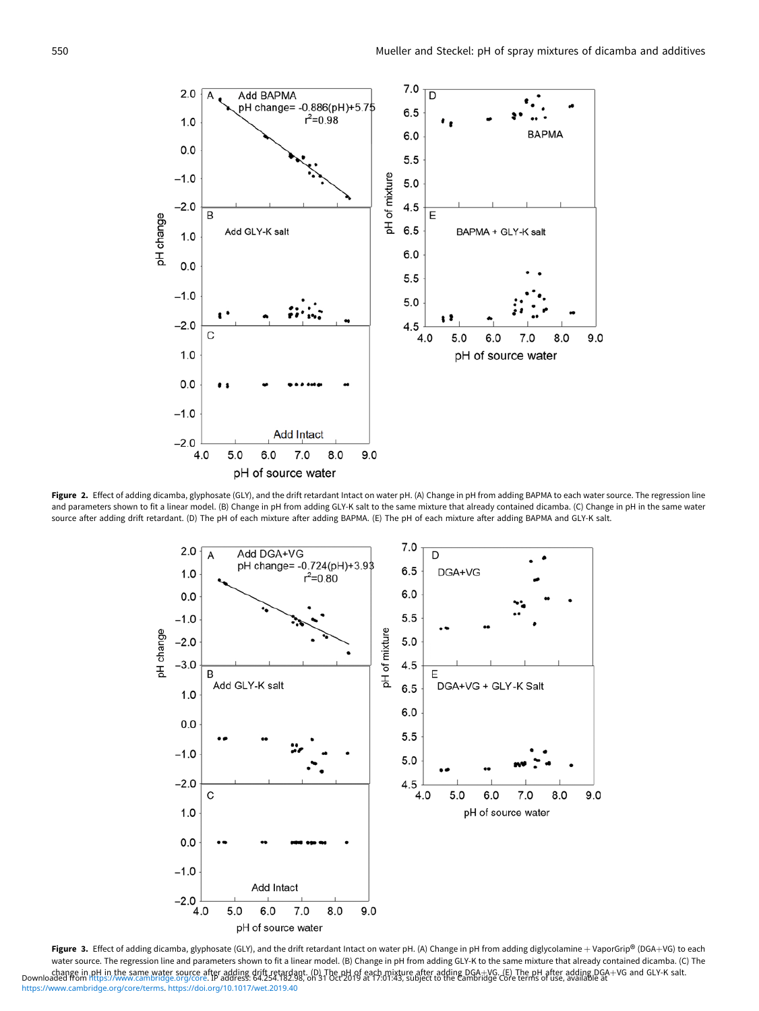<span id="page-3-0"></span>

Figure 2. Effect of adding dicamba, glyphosate (GLY), and the drift retardant Intact on water pH. (A) Change in pH from adding BAPMA to each water source. The regression line and parameters shown to fit a linear model. (B) Change in pH from adding GLY-K salt to the same mixture that already contained dicamba. (C) Change in pH in the same water source after adding drift retardant. (D) The pH of each mixture after adding BAPMA. (E) The pH of each mixture after adding BAPMA and GLY-K salt.



Figure 3. Effect of adding dicamba, glyphosate (GLY), and the drift retardant Intact on water pH. (A) Change in pH from adding diglycolamine + VaporGrip® (DGA+VG) to each water source. The regression line and parameters shown to fit a linear model. (B) Change in pH from adding GLY-K to the same mixture that already contained dicamba. (C) The change in [pH in the same water source af](https://www.cambridge.org/core)ter adding drift retardant. (D) The pH of each mixture after adding DGA+VG. (E) The pH after adding DGA+VG and GLY-K salt.<br>Downloaded from https://www.cambridge.org/core. IP address: [https://www.cambridge.org/core/terms.](https://www.cambridge.org/core/terms) <https://doi.org/10.1017/wet.2019.40>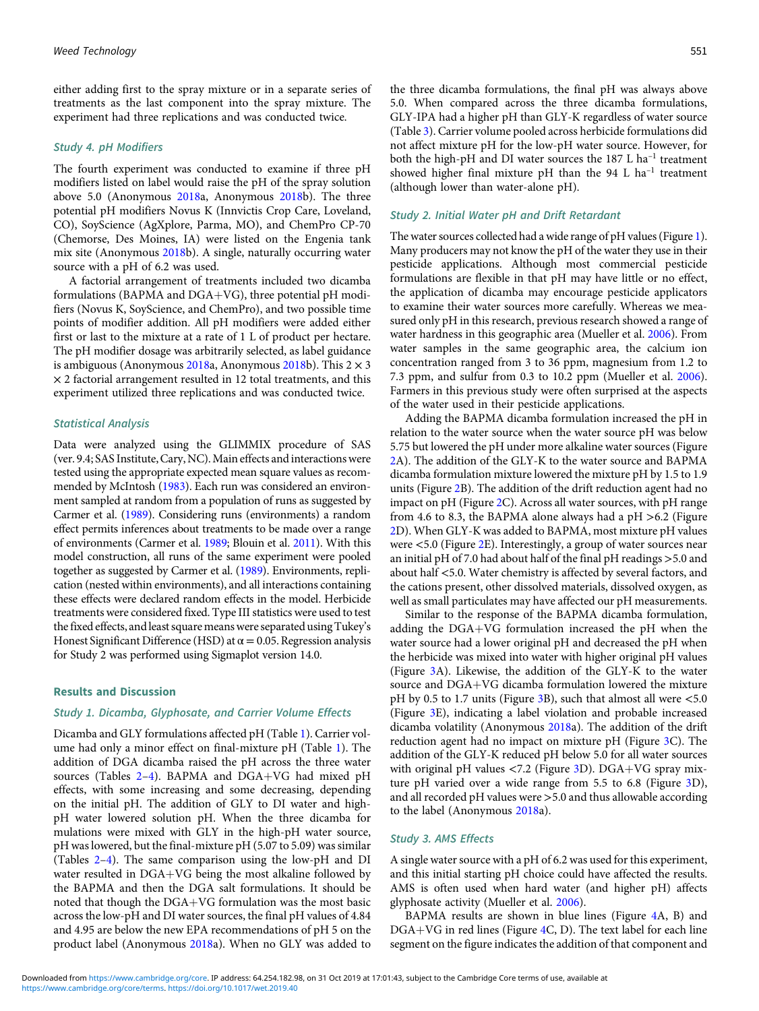either adding first to the spray mixture or in a separate series of treatments as the last component into the spray mixture. The experiment had three replications and was conducted twice.

#### Study 4. pH Modifiers

The fourth experiment was conducted to examine if three pH modifiers listed on label would raise the pH of the spray solution above 5.0 (Anonymous [2018](#page-6-0)a, Anonymous [2018b](#page-6-0)). The three potential pH modifiers Novus K (Innvictis Crop Care, Loveland, CO), SoyScience (AgXplore, Parma, MO), and ChemPro CP-70 (Chemorse, Des Moines, IA) were listed on the Engenia tank mix site (Anonymous [2018b](#page-6-0)). A single, naturally occurring water source with a pH of 6.2 was used.

A factorial arrangement of treatments included two dicamba formulations (BAPMA and  $DGA+VG$ ), three potential pH modifiers (Novus K, SoyScience, and ChemPro), and two possible time points of modifier addition. All pH modifiers were added either first or last to the mixture at a rate of 1 L of product per hectare. The pH modifier dosage was arbitrarily selected, as label guidance is ambiguous (Anonymous [2018](#page-6-0)a, Anonymous 2018b). This  $2 \times 3$  $\times$  2 factorial arrangement resulted in 12 total treatments, and this experiment utilized three replications and was conducted twice.

#### Statistical Analysis

Data were analyzed using the GLIMMIX procedure of SAS (ver. 9.4; SAS Institute, Cary, NC). Main effects and interactions were tested using the appropriate expected mean square values as recommended by McIntosh [\(1983](#page-7-0)). Each run was considered an environment sampled at random from a population of runs as suggested by Carmer et al. [\(1989](#page-7-0)). Considering runs (environments) a random effect permits inferences about treatments to be made over a range of environments (Carmer et al. [1989](#page-7-0); Blouin et al. [2011\)](#page-6-0). With this model construction, all runs of the same experiment were pooled together as suggested by Carmer et al. [\(1989](#page-7-0)). Environments, replication (nested within environments), and all interactions containing these effects were declared random effects in the model. Herbicide treatments were considered fixed. Type III statistics were used to test the fixed effects, and least square means were separated using Tukey's Honest Significant Difference (HSD) at  $\alpha$  = 0.05. Regression analysis for Study 2 was performed using Sigmaplot version 14.0.

### Results and Discussion

#### Study 1. Dicamba, Glyphosate, and Carrier Volume Effects

Dicamba and GLY formulations affected pH (Table [1](#page-1-0)). Carrier volume had only a minor effect on final-mixture pH (Table [1\)](#page-1-0). The addition of DGA dicamba raised the pH across the three water sources (Tables  $2-4$  $2-4$ ). BAPMA and DGA+VG had mixed pH effects, with some increasing and some decreasing, depending on the initial pH. The addition of GLY to DI water and highpH water lowered solution pH. When the three dicamba for mulations were mixed with GLY in the high-pH water source, pH was lowered, but the final-mixture pH (5.07 to 5.09) was similar (Tables [2](#page-2-0)–[4\)](#page-2-0). The same comparison using the low-pH and DI water resulted in DGA+VG being the most alkaline followed by the BAPMA and then the DGA salt formulations. It should be noted that though the  $DGA+VG$  formulation was the most basic across the low-pH and DI water sources, the final pH values of 4.84 and 4.95 are below the new EPA recommendations of pH 5 on the product label (Anonymous [2018](#page-6-0)a). When no GLY was added to

the three dicamba formulations, the final pH was always above 5.0. When compared across the three dicamba formulations, GLY-IPA had a higher pH than GLY-K regardless of water source (Table [3\)](#page-2-0). Carrier volume pooled across herbicide formulations did not affect mixture pH for the low-pH water source. However, for both the high-pH and DI water sources the 187 L ha<sup>-1</sup> treatment showed higher final mixture pH than the 94 L  $ha^{-1}$  treatment (although lower than water-alone pH).

#### Study 2. Initial Water pH and Drift Retardant

The water sources collected had a wide range of pH values (Figure [1\)](#page-2-0). Many producers may not know the pH of the water they use in their pesticide applications. Although most commercial pesticide formulations are flexible in that pH may have little or no effect, the application of dicamba may encourage pesticide applicators to examine their water sources more carefully. Whereas we measured only pH in this research, previous research showed a range of water hardness in this geographic area (Mueller et al. [2006](#page-7-0)). From water samples in the same geographic area, the calcium ion concentration ranged from 3 to 36 ppm, magnesium from 1.2 to 7.3 ppm, and sulfur from 0.3 to 10.2 ppm (Mueller et al. [2006\)](#page-7-0). Farmers in this previous study were often surprised at the aspects of the water used in their pesticide applications.

Adding the BAPMA dicamba formulation increased the pH in relation to the water source when the water source pH was below 5.75 but lowered the pH under more alkaline water sources (Figure [2A](#page-3-0)). The addition of the GLY-K to the water source and BAPMA dicamba formulation mixture lowered the mixture pH by 1.5 to 1.9 units (Figure [2](#page-3-0)B). The addition of the drift reduction agent had no impact on pH (Figure [2](#page-3-0)C). Across all water sources, with pH range from 4.6 to 8.3, the BAPMA alone always had a pH >6.2 (Figure [2D](#page-3-0)). When GLY-K was added to BAPMA, most mixture pH values were <5.0 (Figure [2E](#page-3-0)). Interestingly, a group of water sources near an initial pH of 7.0 had about half of the final pH readings >5.0 and about half <5.0. Water chemistry is affected by several factors, and the cations present, other dissolved materials, dissolved oxygen, as well as small particulates may have affected our pH measurements.

Similar to the response of the BAPMA dicamba formulation, adding the  $DGA+VG$  formulation increased the pH when the water source had a lower original pH and decreased the pH when the herbicide was mixed into water with higher original pH values (Figure [3A](#page-3-0)). Likewise, the addition of the GLY-K to the water source and  $DGA+VG$  dicamba formulation lowered the mixture pH by 0.5 to 1.7 units (Figure [3](#page-3-0)B), such that almost all were  $\leq 5.0$ (Figure [3E](#page-3-0)), indicating a label violation and probable increased dicamba volatility (Anonymous [2018](#page-6-0)a). The addition of the drift reduction agent had no impact on mixture pH (Figure [3](#page-3-0)C). The addition of the GLY-K reduced pH below 5.0 for all water sources with original pH values  $\langle 7.2 \rangle$  (Figure [3D](#page-3-0)). DGA+VG spray mixture pH varied over a wide range from 5.5 to 6.8 (Figure [3D](#page-3-0)), and all recorded pH values were >5.0 and thus allowable according to the label (Anonymous [2018a](#page-6-0)).

#### Study 3. AMS Effects

A single water source with a pH of 6.2 was used for this experiment, and this initial starting pH choice could have affected the results. AMS is often used when hard water (and higher pH) affects glyphosate activity (Mueller et al. [2006\)](#page-7-0).

BAPMA results are shown in blue lines (Figure [4A](#page-5-0), B) and  $DGA+VG$  in red lines (Figure [4C](#page-5-0), D). The text label for each line segment on the figure indicates the addition of that component and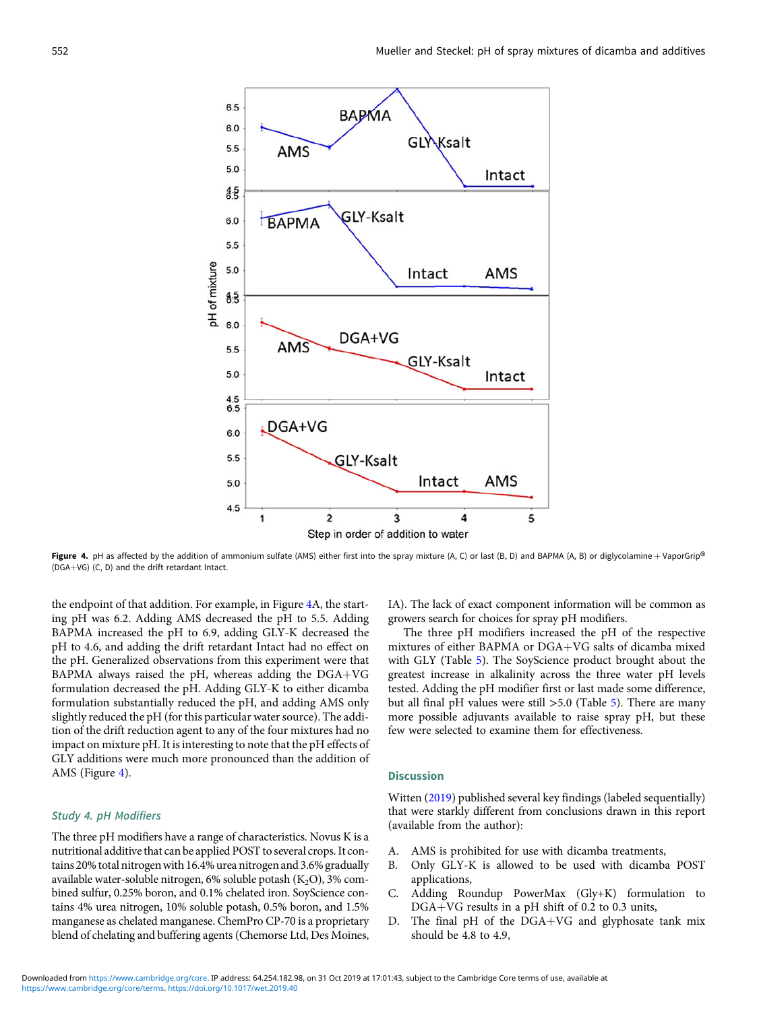<span id="page-5-0"></span>

**Figure 4.** pH as affected by the addition of ammonium sulfate (AMS) either first into the spray mixture (A, C) or last (B, D) and BAPMA (A, B) or diglycolamine + VaporGrip<sup>®</sup> (DGA+VG) (C, D) and the drift retardant Intac

the endpoint of that addition. For example, in Figure 4A, the starting pH was 6.2. Adding AMS decreased the pH to 5.5. Adding BAPMA increased the pH to 6.9, adding GLY-K decreased the pH to 4.6, and adding the drift retardant Intact had no effect on the pH. Generalized observations from this experiment were that BAPMA always raised the pH, whereas adding the  $DGA+VG$ formulation decreased the pH. Adding GLY-K to either dicamba formulation substantially reduced the pH, and adding AMS only slightly reduced the pH (for this particular water source). The addition of the drift reduction agent to any of the four mixtures had no impact on mixture pH. It is interesting to note that the pH effects of GLY additions were much more pronounced than the addition of AMS (Figure 4).

## Study 4. pH Modifiers

The three pH modifiers have a range of characteristics. Novus K is a nutritional additive that can be applied POST to several crops. It contains 20% total nitrogenwith 16.4% urea nitrogen and 3.6% gradually available water-soluble nitrogen,  $6\%$  soluble potash  $(K_2O)$ , 3% combined sulfur, 0.25% boron, and 0.1% chelated iron. SoyScience contains 4% urea nitrogen, 10% soluble potash, 0.5% boron, and 1.5% manganese as chelated manganese. ChemPro CP-70 is a proprietary blend of chelating and buffering agents (Chemorse Ltd, Des Moines,

IA). The lack of exact component information will be common as growers search for choices for spray pH modifiers.

The three pH modifiers increased the pH of the respective mixtures of either BAPMA or DGA+VG salts of dicamba mixed with GLY (Table [5](#page-6-0)). The SoyScience product brought about the greatest increase in alkalinity across the three water pH levels tested. Adding the pH modifier first or last made some difference, but all final pH values were still >5.0 (Table [5\)](#page-6-0). There are many more possible adjuvants available to raise spray pH, but these few were selected to examine them for effectiveness.

# Discussion

Witten [\(2019](#page-7-0)) published several key findings (labeled sequentially) that were starkly different from conclusions drawn in this report (available from the author):

- A. AMS is prohibited for use with dicamba treatments,
- B. Only GLY-K is allowed to be used with dicamba POST applications,
- C. Adding Roundup PowerMax (Gly+K) formulation to  $DGA+VG$  results in a pH shift of 0.2 to 0.3 units,
- D. The final pH of the  $DGA+VG$  and glyphosate tank mix should be 4.8 to 4.9,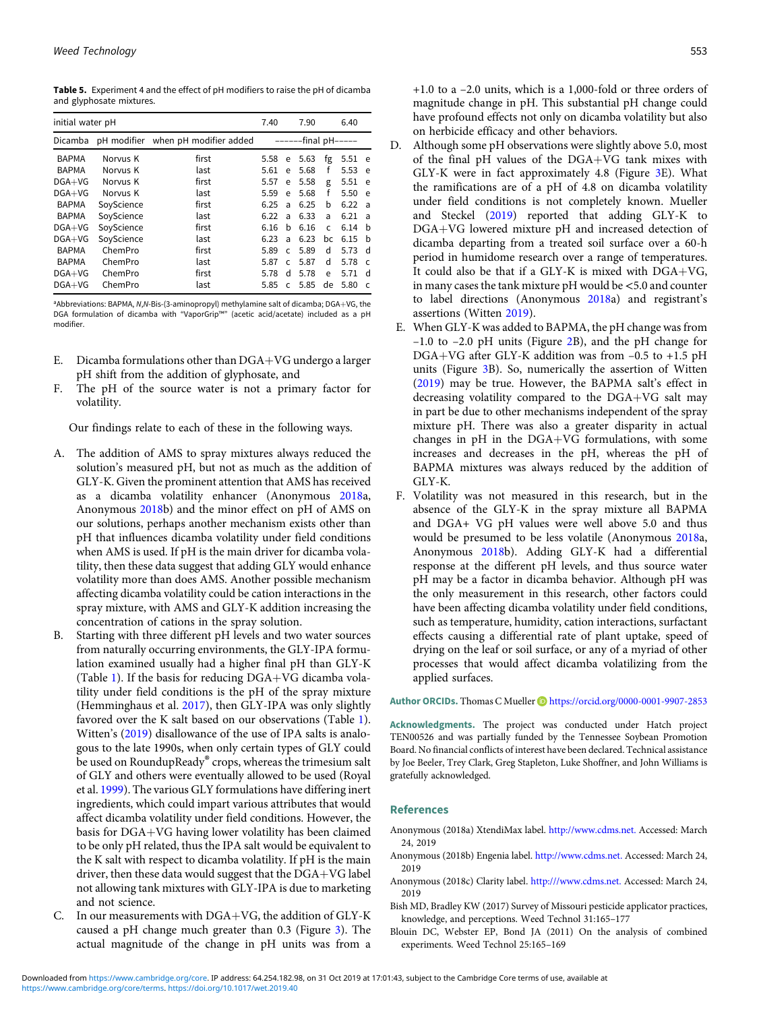<span id="page-6-0"></span>Table 5. Experiment 4 and the effect of pH modifiers to raise the pH of dicamba and glyphosate mixtures.

| initial water pH |            |                                    | 7.40                |              | 7.90 |     | 6.40 |                |
|------------------|------------|------------------------------------|---------------------|--------------|------|-----|------|----------------|
| Dicamba          |            | pH modifier when pH modifier added | ------final pH----- |              |      |     |      |                |
| <b>BAPMA</b>     | Norvus K   | first                              | 5.58                | e            | 5.63 | fg  | 5.51 | e              |
| <b>BAPMA</b>     | Norvus K   | last                               | 5.61                | e            | 5.68 | f   | 5.53 | e              |
| $DGA+VG$         | Norvus K   | first                              | 5.57                | e            | 5.58 | g   | 5.51 | e              |
| $DGA+VG$         | Norvus K   | last                               | 5.59                | e            | 5.68 | f   | 5.50 | e              |
| BAPMA            | SoyScience | first                              | 6.25                | a            | 6.25 | b   | 6.22 | $\overline{a}$ |
| <b>BAPMA</b>     | SoyScience | last                               | 6.22                | a            | 6.33 | a   | 6.21 | a              |
| $DGA+VG$         | SoyScience | first                              | 6.16                | h            | 6.16 | C   | 6.14 | h              |
| $DGA+VG$         | SoyScience | last                               | 6.23                | a            | 6.23 | bc. | 6.15 | h              |
| <b>BAPMA</b>     | ChemPro    | first                              | 5.89                | $\mathsf{C}$ | 5.89 | d   | 5.73 | d              |
| <b>BAPMA</b>     | ChemPro    | last                               | 5.87                | C.           | 5.87 | d   | 5.78 | $\mathsf{C}$   |
| $DGA+VG$         | ChemPro    | first                              | 5.78                | d            | 5.78 | e   | 5.71 | d              |
| $DGA+VG$         | ChemPro    | last                               | 5.85                | $\mathsf{C}$ | 5.85 | de  | 5.80 | $\epsilon$     |

<sup>a</sup>Abbreviations: BAPMA, N,N-Bis-(3-aminopropyl) methylamine salt of dicamba; DGA+VG, the DGA formulation of dicamba with "VaporGrip™" (acetic acid/acetate) included as a pH modifier.

- E. Dicamba formulations other than  $DGA+VG$  undergo a larger pH shift from the addition of glyphosate, and
- F. The pH of the source water is not a primary factor for volatility.

Our findings relate to each of these in the following ways.

- A. The addition of AMS to spray mixtures always reduced the solution's measured pH, but not as much as the addition of GLY-K. Given the prominent attention that AMS has received as a dicamba volatility enhancer (Anonymous 2018a, Anonymous 2018b) and the minor effect on pH of AMS on our solutions, perhaps another mechanism exists other than pH that influences dicamba volatility under field conditions when AMS is used. If pH is the main driver for dicamba volatility, then these data suggest that adding GLY would enhance volatility more than does AMS. Another possible mechanism affecting dicamba volatility could be cation interactions in the spray mixture, with AMS and GLY-K addition increasing the concentration of cations in the spray solution.
- B. Starting with three different pH levels and two water sources from naturally occurring environments, the GLY-IPA formulation examined usually had a higher final pH than GLY-K (Table [1\)](#page-1-0). If the basis for reducing  $DGA+VG$  dicamba volatility under field conditions is the pH of the spray mixture (Hemminghaus et al. [2017](#page-7-0)), then GLY-IPA was only slightly favored over the K salt based on our observations (Table [1\)](#page-1-0). Witten's ([2019](#page-7-0)) disallowance of the use of IPA salts is analogous to the late 1990s, when only certain types of GLY could be used on RoundupReady® crops, whereas the trimesium salt of GLY and others were eventually allowed to be used (Royal et al. [1999](#page-7-0)). The various GLY formulations have differing inert ingredients, which could impart various attributes that would affect dicamba volatility under field conditions. However, the basis for DGA+VG having lower volatility has been claimed to be only pH related, thus the IPA salt would be equivalent to the K salt with respect to dicamba volatility. If pH is the main driver, then these data would suggest that the  $DGA+VG$  label not allowing tank mixtures with GLY-IPA is due to marketing and not science.
- C. In our measurements with  $DGA+VG$ , the addition of  $GLY-K$ caused a pH change much greater than 0.3 (Figure [3](#page-3-0)). The actual magnitude of the change in pH units was from a
- have profound effects not only on dicamba volatility but also on herbicide efficacy and other behaviors. D. Although some pH observations were slightly above 5.0, most of the final pH values of the  $DGA+VG$  tank mixes with GLY-K were in fact approximately 4.8 (Figure [3E](#page-3-0)). What the ramifications are of a pH of 4.8 on dicamba volatility under field conditions is not completely known. Mueller and Steckel [\(2019](#page-7-0)) reported that adding GLY-K to DGA+VG lowered mixture pH and increased detection of dicamba departing from a treated soil surface over a 60-h period in humidome research over a range of temperatures. It could also be that if a GLY-K is mixed with  $DGA+VG$ , in many cases the tank mixture pH would be <5.0 and counter to label directions (Anonymous 2018a) and registrant's
- assertions (Witten [2019](#page-7-0)). E. When GLY-K was added to BAPMA, the pH change was from –1.0 to –2.0 pH units (Figure [2](#page-3-0)B), and the pH change for DGA+VG after GLY-K addition was from  $-0.5$  to +1.5 pH units (Figure [3](#page-3-0)B). So, numerically the assertion of Witten [\(2019](#page-7-0)) may be true. However, the BAPMA salt's effect in decreasing volatility compared to the  $DGA+VG$  salt may in part be due to other mechanisms independent of the spray mixture pH. There was also a greater disparity in actual changes in  $pH$  in the DGA+VG formulations, with some increases and decreases in the pH, whereas the pH of BAPMA mixtures was always reduced by the addition of GLY-K.
- F. Volatility was not measured in this research, but in the absence of the GLY-K in the spray mixture all BAPMA and DGA+ VG pH values were well above 5.0 and thus would be presumed to be less volatile (Anonymous 2018a, Anonymous 2018b). Adding GLY-K had a differential response at the different pH levels, and thus source water pH may be a factor in dicamba behavior. Although pH was the only measurement in this research, other factors could have been affecting dicamba volatility under field conditions, such as temperature, humidity, cation interactions, surfactant effects causing a differential rate of plant uptake, speed of drying on the leaf or soil surface, or any of a myriad of other processes that would affect dicamba volatilizing from the applied surfaces.

Author ORCIDs. Thomas C Mueller D <https://orcid.org/0000-0001-9907-2853>

Acknowledgments. The project was conducted under Hatch project TEN00526 and was partially funded by the Tennessee Soybean Promotion Board. No financial conflicts of interest have been declared. Technical assistance by Joe Beeler, Trey Clark, Greg Stapleton, Luke Shoffner, and John Williams is gratefully acknowledged.

### References

- Anonymous (2018a) XtendiMax label. <http://www.cdms.net.> Accessed: March 24, 2019
- Anonymous (2018b) Engenia label. <http://www.cdms.net.> Accessed: March 24, 2019
- Anonymous (2018c) Clarity label. <http:///www.cdms.net.> Accessed: March 24, 2019
- Bish MD, Bradley KW (2017) Survey of Missouri pesticide applicator practices, knowledge, and perceptions. Weed Technol 31:165–177
- Blouin DC, Webster EP, Bond JA (2011) On the analysis of combined experiments. Weed Technol 25:165–169